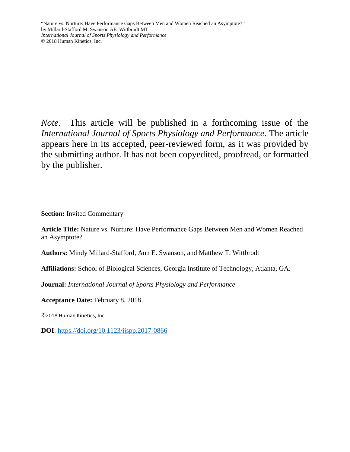*Note*. This article will be published in a forthcoming issue of the *International Journal of Sports Physiology and Performance*. The article appears here in its accepted, peer-reviewed form, as it was provided by the submitting author. It has not been copyedited, proofread, or formatted by the publisher.

**Section:** Invited Commentary

**Article Title:** Nature vs. Nurture: Have Performance Gaps Between Men and Women Reached an Asymptote?

**Authors:** Mindy Millard-Stafford, Ann E. Swanson, and Matthew T. Wittbrodt

**Affiliations:** School of Biological Sciences, Georgia Institute of Technology, Atlanta, GA.

**Journal:** *International Journal of Sports Physiology and Performance*

**Acceptance Date:** February 8, 2018

©2018 Human Kinetics, Inc.

**DOI**:<https://doi.org/10.1123/ijspp.2017-0866>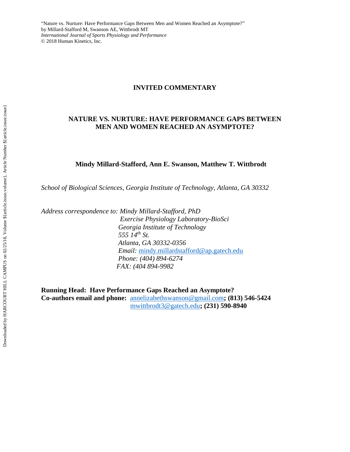#### **INVITED COMMENTARY**

### **NATURE VS. NURTURE: HAVE PERFORMANCE GAPS BETWEEN MEN AND WOMEN REACHED AN ASYMPTOTE?**

#### **Mindy Millard-Stafford, Ann E. Swanson, Matthew T. Wittbrodt**

*School of Biological Sciences, Georgia Institute of Technology, Atlanta, GA 30332*

*Address correspondence to: Mindy Millard-Stafford, PhD*

 *Exercise Physiology Laboratory-BioSci Georgia Institute of Technology 555 14th St. Atlanta, GA 30332-0356 Email:* [mindy.millardstafford@ap.gatech.edu](mailto:mindy.millardstafford@ap.gatech.edu)  *Phone: (404) 894-6274 FAX: (404 894-9982*

**Running Head: Have Performance Gaps Reached an Asymptote? Co-authors email and phone:** [annelizabethswanson@gmail.com](mailto:annelizabethswanson@gmail.com)**; (813) 546-5424** [mwittbrodt3@gatech.edu](mailto:mwittbrodt3@gatech.edu)**; (231) 590-8940**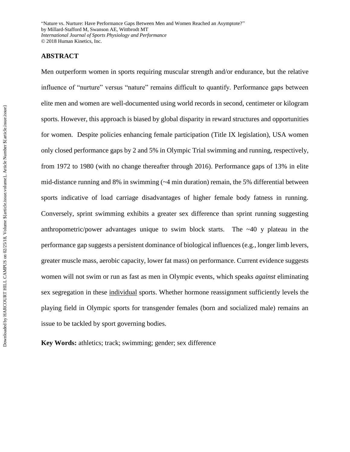### **ABSTRACT**

Men outperform women in sports requiring muscular strength and/or endurance, but the relative influence of "nurture" versus "nature" remains difficult to quantify. Performance gaps between elite men and women are well-documented using world records in second, centimeter or kilogram sports. However, this approach is biased by global disparity in reward structures and opportunities for women. Despite policies enhancing female participation (Title IX legislation), USA women only closed performance gaps by 2 and 5% in Olympic Trial swimming and running, respectively, from 1972 to 1980 (with no change thereafter through 2016). Performance gaps of 13% in elite mid-distance running and 8% in swimming (~4 min duration) remain, the 5% differential between sports indicative of load carriage disadvantages of higher female body fatness in running. Conversely, sprint swimming exhibits a greater sex difference than sprint running suggesting anthropometric/power advantages unique to swim block starts. The  $~40$  y plateau in the performance gap suggests a persistent dominance of biological influences (e.g., longer limb levers, greater muscle mass, aerobic capacity, lower fat mass) on performance. Current evidence suggests women will not swim or run as fast as men in Olympic events, which speaks *against* eliminating sex segregation in these individual sports. Whether hormone reassignment sufficiently levels the playing field in Olympic sports for transgender females (born and socialized male) remains an issue to be tackled by sport governing bodies.

**Key Words:** athletics; track; swimming; gender; sex difference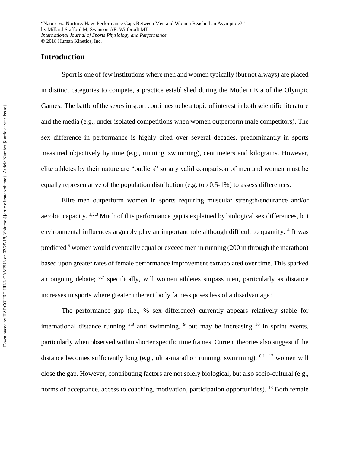# **Introduction**

Sport is one of few institutions where men and women typically (but not always) are placed in distinct categories to compete, a practice established during the Modern Era of the Olympic Games. The battle of the sexes in sport continues to be a topic of interest in both scientific literature and the media (e.g., under isolated competitions when women outperform male competitors). The sex difference in performance is highly cited over several decades, predominantly in sports measured objectively by time (e.g., running, swimming), centimeters and kilograms. However, elite athletes by their nature are "outliers" so any valid comparison of men and women must be equally representative of the population distribution (e.g. top 0.5-1%) to assess differences.

Elite men outperform women in sports requiring muscular strength/endurance and/or aerobic capacity. <sup>1,2,3</sup> Much of this performance gap is explained by biological sex differences, but environmental influences arguably play an important role although difficult to quantify. <sup>4</sup> It was predicted  $5$  women would eventually equal or exceed men in running (200 m through the marathon) based upon greater rates of female performance improvement extrapolated over time. This sparked an ongoing debate;  $6.7$  specifically, will women athletes surpass men, particularly as distance increases in sports where greater inherent body fatness poses less of a disadvantage?

The performance gap (i.e., % sex difference) currently appears relatively stable for international distance running  $3.8$  and swimming,  $9$  but may be increasing  $10$  in sprint events, particularly when observed within shorter specific time frames. Current theories also suggest if the distance becomes sufficiently long (e.g., ultra-marathon running, swimming), <sup>6,11-12</sup> women will close the gap. However, contributing factors are not solely biological, but also socio-cultural (e.g., norms of acceptance, access to coaching, motivation, participation opportunities). <sup>13</sup> Both female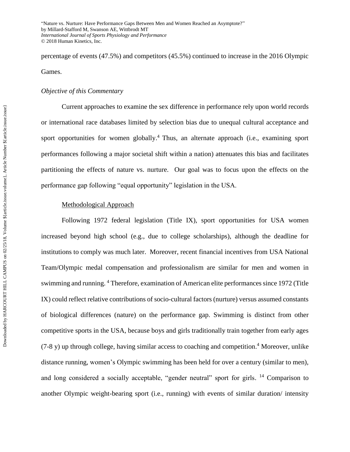percentage of events (47.5%) and competitors (45.5%) continued to increase in the 2016 Olympic Games.

## *Objective of this Commentary*

Current approaches to examine the sex difference in performance rely upon world records or international race databases limited by selection bias due to unequal cultural acceptance and sport opportunities for women globally.<sup>4</sup> Thus, an alternate approach (i.e., examining sport performances following a major societal shift within a nation) attenuates this bias and facilitates partitioning the effects of nature vs. nurture. Our goal was to focus upon the effects on the performance gap following "equal opportunity" legislation in the USA.

#### Methodological Approach

Following 1972 federal legislation (Title IX), sport opportunities for USA women increased beyond high school (e.g., due to college scholarships), although the deadline for institutions to comply was much later. Moreover, recent financial incentives from USA National Team/Olympic medal compensation and professionalism are similar for men and women in swimming and running. <sup>4</sup> Therefore, examination of American elite performances since 1972 (Title IX) could reflect relative contributions of socio-cultural factors (nurture) versus assumed constants of biological differences (nature) on the performance gap. Swimming is distinct from other competitive sports in the USA, because boys and girls traditionally train together from early ages (7-8 y) up through college, having similar access to coaching and competition. <sup>4</sup> Moreover, unlike distance running, women's Olympic swimming has been held for over a century (similar to men), and long considered a socially acceptable, "gender neutral" sport for girls. <sup>14</sup> Comparison to another Olympic weight-bearing sport (i.e., running) with events of similar duration/ intensity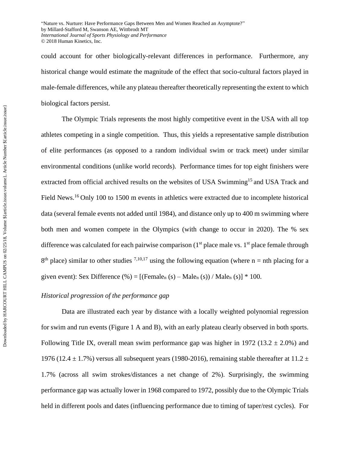could account for other biologically-relevant differences in performance. Furthermore, any historical change would estimate the magnitude of the effect that socio-cultural factors played in male-female differences, while any plateau thereafter theoretically representing the extent to which biological factors persist.

The Olympic Trials represents the most highly competitive event in the USA with all top athletes competing in a single competition. Thus, this yields a representative sample distribution of elite performances (as opposed to a random individual swim or track meet) under similar environmental conditions (unlike world records). Performance times for top eight finishers were extracted from official archived results on the websites of USA Swimming<sup>15</sup> and USA Track and Field News.<sup>16</sup> Only 100 to 1500 m events in athletics were extracted due to incomplete historical data (several female events not added until 1984), and distance only up to 400 m swimming where both men and women compete in the Olympics (with change to occur in 2020). The % sex difference was calculated for each pairwise comparison  $(1<sup>st</sup>$  place male vs.  $1<sup>st</sup>$  place female through  $8<sup>th</sup>$  place) similar to other studies <sup>7,10,17</sup> using the following equation (where n = nth placing for a given event): Sex Difference  $(\% ) = [$ (Female<sub>n</sub> (s) – Male<sub>n</sub> (s)) / Male<sub>n</sub> (s)] \* 100.

## *Historical progression of the performance gap*

Data are illustrated each year by distance with a locally weighted polynomial regression for swim and run events (Figure 1 A and B), with an early plateau clearly observed in both sports. Following Title IX, overall mean swim performance gap was higher in 1972 (13.2  $\pm$  2.0%) and 1976 (12.4  $\pm$  1.7%) versus all subsequent years (1980-2016), remaining stable thereafter at 11.2  $\pm$ 1.7% (across all swim strokes/distances a net change of 2%). Surprisingly, the swimming performance gap was actually lower in 1968 compared to 1972, possibly due to the Olympic Trials held in different pools and dates (influencing performance due to timing of taper/rest cycles). For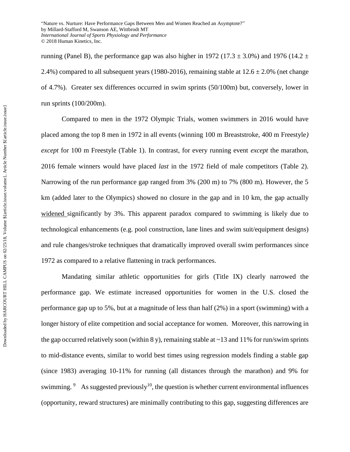running (Panel B), the performance gap was also higher in 1972 (17.3  $\pm$  3.0%) and 1976 (14.2  $\pm$ 2.4%) compared to all subsequent years (1980-2016), remaining stable at  $12.6 \pm 2.0\%$  (net change of 4.7%). Greater sex differences occurred in swim sprints (50/100m) but, conversely, lower in run sprints (100/200m).

Compared to men in the 1972 Olympic Trials, women swimmers in 2016 would have placed among the top 8 men in 1972 in all events (winning 100 m Breaststroke, 400 m Freestyle*) except* for 100 m Freestyle (Table 1). In contrast, for every running event *except* the marathon, 2016 female winners would have placed *last* in the 1972 field of male competitors (Table 2). Narrowing of the run performance gap ranged from 3% (200 m) to 7% (800 m). However, the 5 km (added later to the Olympics) showed no closure in the gap and in 10 km, the gap actually widened significantly by 3%. This apparent paradox compared to swimming is likely due to technological enhancements (e.g. pool construction, lane lines and swim suit/equipment designs) and rule changes/stroke techniques that dramatically improved overall swim performances since 1972 as compared to a relative flattening in track performances.

Mandating similar athletic opportunities for girls (Title IX) clearly narrowed the performance gap. We estimate increased opportunities for women in the U.S. closed the performance gap up to 5%, but at a magnitude of less than half (2%) in a sport (swimming) with a longer history of elite competition and social acceptance for women. Moreover, this narrowing in the gap occurred relatively soon (within 8 y), remaining stable at  $\sim$ 13 and 11% for run/swim sprints to mid-distance events, similar to world best times using regression models finding a stable gap (since 1983) averaging 10-11% for running (all distances through the marathon) and 9% for swimming.<sup>9</sup> As suggested previously<sup>10</sup>, the question is whether current environmental influences (opportunity, reward structures) are minimally contributing to this gap, suggesting differences are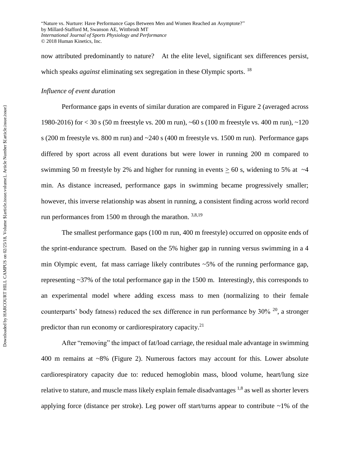now attributed predominantly to nature? At the elite level, significant sex differences persist, which speaks *against* eliminating sex segregation in these Olympic sports.<sup>18</sup>

## *Influence of event duration*

Performance gaps in events of similar duration are compared in Figure 2 (averaged across 1980-2016) for < 30 s (50 m freestyle vs. 200 m run), ~60 s (100 m freestyle vs. 400 m run), ~120 s (200 m freestyle vs. 800 m run) and ~240 s (400 m freestyle vs. 1500 m run). Performance gaps differed by sport across all event durations but were lower in running 200 m compared to swimming 50 m freestyle by 2% and higher for running in events  $> 60$  s, widening to 5% at  $\sim$ 4 min. As distance increased, performance gaps in swimming became progressively smaller; however, this inverse relationship was absent in running, a consistent finding across world record run performances from 1500 m through the marathon. 3,8,19

The smallest performance gaps (100 m run, 400 m freestyle) occurred on opposite ends of the sprint-endurance spectrum. Based on the 5% higher gap in running versus swimming in a 4 min Olympic event, fat mass carriage likely contributes ~5% of the running performance gap, representing ~37% of the total performance gap in the 1500 m. Interestingly, this corresponds to an experimental model where adding excess mass to men (normalizing to their female counterparts' body fatness) reduced the sex difference in run performance by  $30\%$  <sup>20</sup>, a stronger predictor than run economy or cardiorespiratory capacity.<sup>21</sup>

After "removing" the impact of fat/load carriage, the residual male advantage in swimming 400 m remains at ~8% (Figure 2). Numerous factors may account for this. Lower absolute cardiorespiratory capacity due to: reduced hemoglobin mass, blood volume, heart/lung size relative to stature, and muscle mass likely explain female disadvantages  $^{1,8}$  as well as shorter levers applying force (distance per stroke). Leg power off start/turns appear to contribute  $\sim$ 1% of the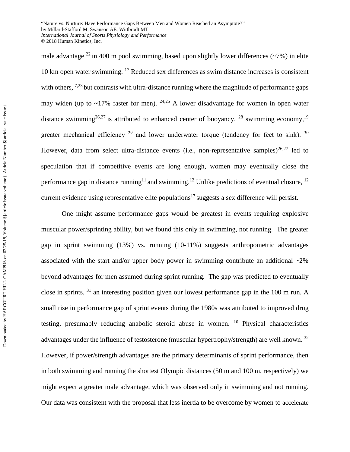male advantage <sup>22</sup> in 400 m pool swimming, based upon slightly lower differences ( $\sim$ 7%) in elite 10 km open water swimming. <sup>17</sup> Reduced sex differences as swim distance increases is consistent with others, <sup>7,23</sup> but contrasts with ultra-distance running where the magnitude of performance gaps may widen (up to  $\sim$ 17% faster for men). <sup>24,25</sup> A lower disadvantage for women in open water distance swimming<sup>26,27</sup> is attributed to enhanced center of buoyancy, <sup>28</sup> swimming economy,<sup>19</sup> greater mechanical efficiency  $29$  and lower underwater torque (tendency for feet to sink).  $30$ However, data from select ultra-distance events (i.e., non-representative samples)<sup>26,27</sup> led to speculation that if competitive events are long enough, women may eventually close the performance gap in distance running<sup>11</sup> and swimming.<sup>12</sup> Unlike predictions of eventual closure, <sup>12</sup> current evidence using representative elite populations<sup>17</sup> suggests a sex difference will persist.

One might assume performance gaps would be greatest in events requiring explosive muscular power/sprinting ability, but we found this only in swimming, not running. The greater gap in sprint swimming (13%) vs. running (10-11%) suggests anthropometric advantages associated with the start and/or upper body power in swimming contribute an additional  $\sim$ 2% beyond advantages for men assumed during sprint running. The gap was predicted to eventually close in sprints, <sup>31</sup> an interesting position given our lowest performance gap in the 100 m run. A small rise in performance gap of sprint events during the 1980s was attributed to improved drug testing, presumably reducing anabolic steroid abuse in women. <sup>10</sup> Physical characteristics advantages under the influence of testosterone (muscular hypertrophy/strength) are well known.<sup>32</sup> However, if power/strength advantages are the primary determinants of sprint performance, then in both swimming and running the shortest Olympic distances (50 m and 100 m, respectively) we might expect a greater male advantage, which was observed only in swimming and not running. Our data was consistent with the proposal that less inertia to be overcome by women to accelerate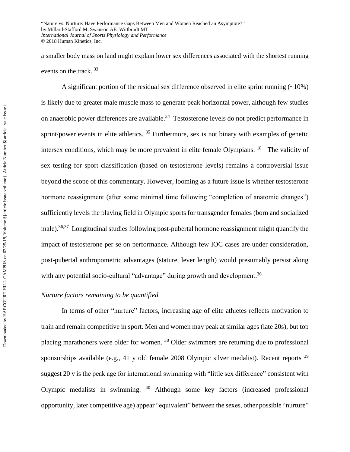a smaller body mass on land might explain lower sex differences associated with the shortest running events on the track.<sup>33</sup>

A significant portion of the residual sex difference observed in elite sprint running  $(-10\%)$ is likely due to greater male muscle mass to generate peak horizontal power, although few studies on anaerobic power differences are available.<sup>34</sup> Testosterone levels do not predict performance in sprint/power events in elite athletics.<sup>35</sup> Furthermore, sex is not binary with examples of genetic intersex conditions, which may be more prevalent in elite female Olympians. <sup>18</sup> The validity of sex testing for sport classification (based on testosterone levels) remains a controversial issue beyond the scope of this commentary. However, looming as a future issue is whether testosterone hormone reassignment (after some minimal time following "completion of anatomic changes") sufficiently levels the playing field in Olympic sports for transgender females (born and socialized male).<sup>36,37</sup> Longitudinal studies following post-pubertal hormone reassignment might quantify the impact of testosterone per se on performance. Although few IOC cases are under consideration, post-pubertal anthropometric advantages (stature, lever length) would presumably persist along with any potential socio-cultural "advantage" during growth and development.<sup>36</sup>

#### *Nurture factors remaining to be quantified*

In terms of other "nurture" factors, increasing age of elite athletes reflects motivation to train and remain competitive in sport. Men and women may peak at similar ages (late 20s), but top placing marathoners were older for women.<sup>38</sup> Older swimmers are returning due to professional sponsorships available (e.g., 41 y old female 2008 Olympic silver medalist). Recent reports  $39$ suggest 20 y is the peak age for international swimming with "little sex difference" consistent with Olympic medalists in swimming. <sup>40</sup> Although some key factors (increased professional opportunity, later competitive age) appear "equivalent" between the sexes, other possible "nurture"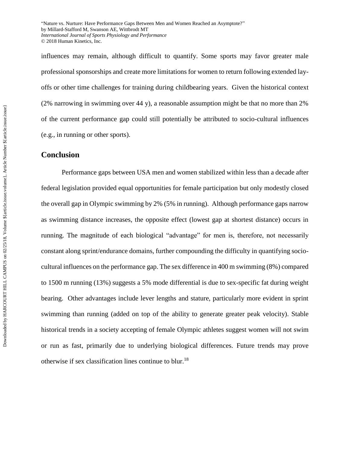influences may remain, although difficult to quantify. Some sports may favor greater male professional sponsorships and create more limitations for women to return following extended layoffs or other time challenges for training during childbearing years. Given the historical context (2% narrowing in swimming over 44 y), a reasonable assumption might be that no more than 2% of the current performance gap could still potentially be attributed to socio-cultural influences (e.g., in running or other sports).

# **Conclusion**

Performance gaps between USA men and women stabilized within less than a decade after federal legislation provided equal opportunities for female participation but only modestly closed the overall gap in Olympic swimming by 2% (5% in running). Although performance gaps narrow as swimming distance increases, the opposite effect (lowest gap at shortest distance) occurs in running. The magnitude of each biological "advantage" for men is, therefore, not necessarily constant along sprint/endurance domains, further compounding the difficulty in quantifying sociocultural influences on the performance gap. The sex difference in 400 m swimming (8%) compared to 1500 m running (13%) suggests a 5% mode differential is due to sex-specific fat during weight bearing. Other advantages include lever lengths and stature, particularly more evident in sprint swimming than running (added on top of the ability to generate greater peak velocity). Stable historical trends in a society accepting of female Olympic athletes suggest women will not swim or run as fast, primarily due to underlying biological differences. Future trends may prove otherwise if sex classification lines continue to blur.<sup>18</sup>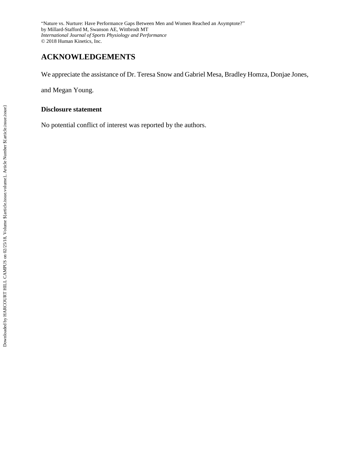# **ACKNOWLEDGEMENTS**

We appreciate the assistance of Dr. Teresa Snow and Gabriel Mesa, Bradley Homza, Donjae Jones,

and Megan Young.

#### **Disclosure statement**

No potential conflict of interest was reported by the authors.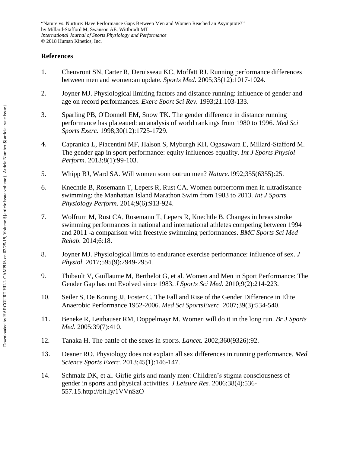# **References**

- 1. Cheuvront SN, Carter R, Deruisseau KC, Moffatt RJ. Running performance differences between men and women:an update. *Sports Med.* 2005;35(12):1017-1024.
- 2. Joyner MJ. Physiological limiting factors and distance running: influence of gender and age on record performances. *Exerc Sport Sci Rev.* 1993;21:103-133.
- 3. Sparling PB, O'Donnell EM, Snow TK. The gender difference in distance running performance has plateaued: an analysis of world rankings from 1980 to 1996. *Med Sci Sports Exerc.* 1998;30(12):1725-1729.
- 4. Capranica L, Piacentini MF, Halson S, Myburgh KH, Ogasawara E, Millard-Stafford M. The gender gap in sport performance: equity influences equality. *Int J Sports Physiol Perform.* 2013;8(1):99-103.
- 5. Whipp BJ, Ward SA. Will women soon outrun men? *Nature.*1992;355(6355):25.
- 6. Knechtle B, Rosemann T, Lepers R, Rust CA. Women outperform men in ultradistance swimming: the Manhattan Island Marathon Swim from 1983 to 2013. *Int J Sports Physiology Perform.* 2014;9(6):913-924.
- 7. Wolfrum M, Rust CA, Rosemann T, Lepers R, Knechtle B. Changes in breaststroke swimming performances in national and international athletes competing between 1994 and 2011 -a comparison with freestyle swimming performances. *BMC Sports Sci Med Rehab.* 2014;6:18.
- 8. Joyner MJ. Physiological limits to endurance exercise performance: influence of sex. *J Physiol.* 2017;595(9):2949-2954.
- 9. Thibault V, Guillaume M, Berthelot G, et al. Women and Men in Sport Performance: The Gender Gap has not Evolved since 1983. *J Sports Sci Med.* 2010;9(2):214-223.
- 10. Seiler S, De Koning JJ, Foster C. The Fall and Rise of the Gender Difference in Elite Anaerobic Performance 1952-2006. *Med Sci SportsExerc.* 2007;39(3):534-540.
- 11. Beneke R, Leithauser RM, Doppelmayr M. Women will do it in the long run. *Br J Sports Med.* 2005;39(7):410.
- 12. Tanaka H. The battle of the sexes in sports. *Lancet.* 2002;360(9326):92.
- 13. Deaner RO. Physiology does not explain all sex differences in running performance. *Med Science Sports Exerc.* 2013;45(1):146-147.
- 14. Schmalz DK, et al. Girlie girls and manly men: Children's stigma consciousness of gender in sports and physical activities. *J Leisure Res.* 2006;38(4):536- 557.15.http://bit.ly/1VVnSzO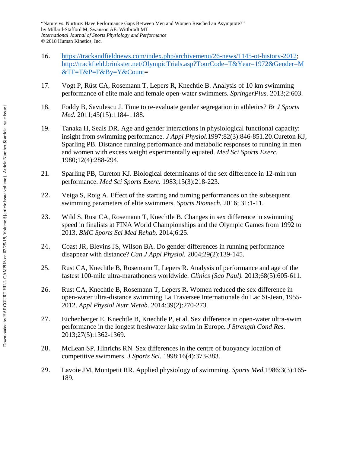- 16. [https://trackandfieldnews.com/index.php/archivemenu/26-news/1145-ot-history-2012;](https://trackandfieldnews.com/index.php/archivemenu/26-news/1145-ot-history-2012) [http://trackfield.brinkster.net/OlympicTrials.asp?TourCode=T&Year=1972&Gender=M](http://trackfield.brinkster.net/OlympicTrials.asp?TourCode=T&Year=1972&Gender=M&TF=T&P=F&By=Y&Count) [&TF=T&P=F&By=Y&Count=](http://trackfield.brinkster.net/OlympicTrials.asp?TourCode=T&Year=1972&Gender=M&TF=T&P=F&By=Y&Count)
- 17. Vogt P, Rüst CA, Rosemann T, Lepers R, Knechtle B. Analysis of 10 km swimming performance of elite male and female open-water swimmers. *SpringerPlus.* 2013;2:603.
- 18. Foddy B, Savulescu J. Time to re-evaluate gender segregation in athletics? *Br J Sports Med.* 2011;45(15):1184-1188.
- 19. Tanaka H, Seals DR. Age and gender interactions in physiological functional capacity: insight from swimming performance. *J Appl Physiol.*1997;82(3):846-851.20.Cureton KJ, Sparling PB. Distance running performance and metabolic responses to running in men and women with excess weight experimentally equated. *Med Sci Sports Exerc.*  1980;12(4):288-294.
- 21. Sparling PB, Cureton KJ. Biological determinants of the sex difference in 12-min run performance. *Med Sci Sports Exerc.* 1983;15(3):218-223.
- 22. Veiga S, Roig A. Effect of the starting and turning performances on the subsequent swimming parameters of elite swimmers. *Sports Biomech.* 2016; 31:1-11.
- 23. Wild S, Rust CA, Rosemann T, Knechtle B. Changes in sex difference in swimming speed in finalists at FINA World Championships and the Olympic Games from 1992 to 2013. *BMC Sports Sci Med Rehab.* 2014;6:25.
- 24. Coast JR, Blevins JS, Wilson BA. Do gender differences in running performance disappear with distance? *Can J Appl Physiol.* 2004;29(2):139-145.
- 25. Rust CA, Knechtle B, Rosemann T, Lepers R. Analysis of performance and age of the fastest 100-mile ultra-marathoners worldwide. *Clinics (Sao Paul).* 2013;68(5):605-611.
- 26. Rust CA, Knechtle B, Rosemann T, Lepers R. Women reduced the sex difference in open-water ultra-distance swimming La Traversee Internationale du Lac St-Jean, 1955- 2012. *Appl Physiol Nutr Metab.* 2014;39(2):270-273.
- 27. Eichenberger E, Knechtle B, Knechtle P, et al. Sex difference in open-water ultra-swim performance in the longest freshwater lake swim in Europe. *J Strength Cond Res.* 2013;27(5):1362-1369.
- 28. McLean SP, Hinrichs RN. Sex differences in the centre of buoyancy location of competitive swimmers. *J Sports Sci.* 1998;16(4):373-383.
- 29. Lavoie JM, Montpetit RR. Applied physiology of swimming. *Sports Med.*1986;3(3):165- 189.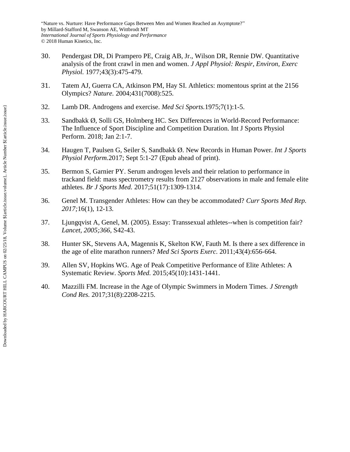- 30. Pendergast DR, Di Prampero PE, Craig AB, Jr., Wilson DR, Rennie DW. Quantitative analysis of the front crawl in men and women. *J Appl Physiol: Respir, Environ, Exerc Physiol.* 1977;43(3):475-479.
- 31. Tatem AJ, Guerra CA, Atkinson PM, Hay SI. Athletics: momentous sprint at the 2156 Olympics? *Nature.* 2004;431(7008):525.
- 32. Lamb DR. Androgens and exercise. *Med Sci Sports.*1975;7(1):1-5.
- 33. Sandbakk Ø, Solli GS, Holmberg HC. Sex Differences in World-Record Performance: The Influence of Sport Discipline and Competition Duration. Int J Sports Physiol Perform. 2018; Jan 2:1-7.
- 34. Haugen T, Paulsen G, Seiler S, Sandbakk Ø. New Records in Human Power. *Int J Sports Physiol Perform.*2017; Sept 5:1-27 (Epub ahead of print).
- 35. Bermon S, Garnier PY. Serum androgen levels and their relation to performance in trackand field: mass spectrometry results from 2127 observations in male and female elite athletes. *Br J Sports Med.* 2017;51(17):1309-1314.
- 36. Genel M. Transgender Athletes: How can they be accommodated? *Curr Sports Med Rep. 2017;*16(1), 12-13.
- 37. Ljungqvist A, Genel, M. (2005). Essay: Transsexual athletes--when is competition fair? *Lancet, 2005;366*, S42-43.
- 38. Hunter SK, Stevens AA, Magennis K, Skelton KW, Fauth M. Is there a sex difference in the age of elite marathon runners? *Med Sci Sports Exerc.* 2011;43(4):656-664.
- 39. Allen SV, Hopkins WG. Age of Peak Competitive Performance of Elite Athletes: A Systematic Review. *Sports Med.* 2015;45(10):1431-1441.
- 40. Mazzilli FM. Increase in the Age of Olympic Swimmers in Modern Times. *J Strength Cond Res.* 2017;31(8):2208-2215.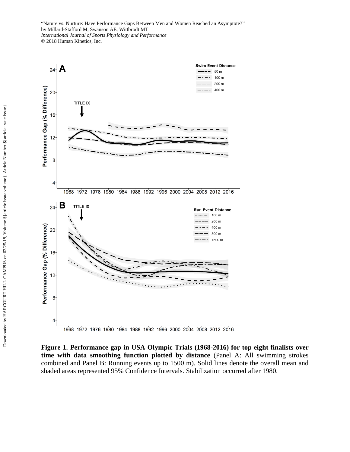

**Figure 1. Performance gap in USA Olympic Trials (1968-2016) for top eight finalists over time with data smoothing function plotted by distance** (Panel A: All swimming strokes combined and Panel B: Running events up to 1500 m). Solid lines denote the overall mean and shaded areas represented 95% Confidence Intervals. Stabilization occurred after 1980.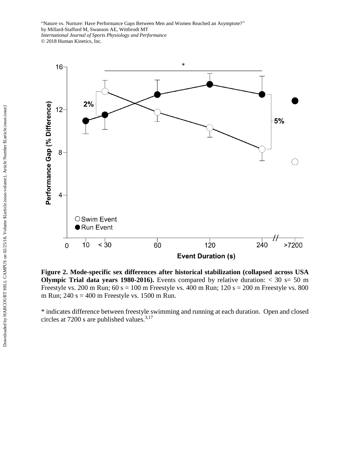

**Figure 2. Mode-specific sex differences after historical stabilization (collapsed across USA Olympic Trial data years 1980-2016).** Events compared by relative duration:  $<$  30 s= 50 m Freestyle vs. 200 m Run;  $60 s = 100 m$  Freestyle vs. 400 m Run;  $120 s = 200 m$  Freestyle vs. 800 m Run;  $240 s = 400 m$  Freestyle vs. 1500 m Run.

\* indicates difference between freestyle swimming and running at each duration. Open and closed circles at 7200 s are published values. $3,17$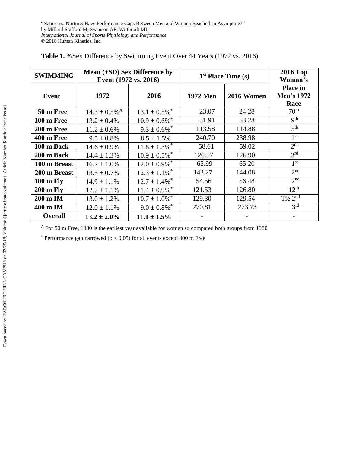| <b>SWIMMING</b>     | Mean $(\pm SD)$ Sex Difference by<br>Event (1972 vs. 2016) |                               | $1st$ Place Time (s) | <b>2016 Top</b><br>Woman's |                                       |
|---------------------|------------------------------------------------------------|-------------------------------|----------------------|----------------------------|---------------------------------------|
| Event               | 1972                                                       | 2016                          | <b>1972 Men</b>      | 2016 Women                 | <b>Place in</b><br>Men's 1972<br>Race |
| 50 m Free           | $14.3 \pm 0.5\%$ <sup>A</sup>                              | $13.1 \pm 0.5\%$ <sup>*</sup> | 23.07                | 24.28                      | 70 <sup>th</sup>                      |
| 100 m Free          | $13.2 \pm 0.4\%$                                           | $10.9 \pm 0.6\%$ <sup>*</sup> | 51.91                | 53.28                      | q <sup>th</sup>                       |
| 200 m Free          | $11.2 \pm 0.6\%$                                           | $9.3 \pm 0.6\%$ <sup>*</sup>  | 113.58               | 114.88                     | 5 <sup>th</sup>                       |
| 400 m Free          | $9.5 \pm 0.8\%$                                            | $8.5 \pm 1.5\%$               | 240.70               | 238.98                     | 1 <sup>st</sup>                       |
| 100 m Back          | $14.6 \pm 0.9\%$                                           | $11.8 \pm 1.3\%$ <sup>*</sup> | 58.61                | 59.02                      | 2 <sup>nd</sup>                       |
| 200 m Back          | $14.4 \pm 1.3\%$                                           | $10.9 \pm 0.5\%$ <sup>*</sup> | 126.57               | 126.90                     | 3 <sup>rd</sup>                       |
| 100 m Breast        | $16.2 \pm 1.0\%$                                           | $12.0 \pm 0.9\%$ <sup>*</sup> | 65.99                | 65.20                      | 1 <sup>st</sup>                       |
| 200 m Breast        | $13.5 \pm 0.7\%$                                           | $12.3 \pm 1.1\%$ <sup>*</sup> | 143.27               | 144.08                     | 2 <sup>nd</sup>                       |
| $100 \text{ m}$ Fly | $14.9 \pm 1.1\%$                                           | $12.7 \pm 1.4\%$ <sup>*</sup> | 54.56                | 56.48                      | 2 <sub>nd</sub>                       |
| <b>200 m Fly</b>    | $12.7 \pm 1.1\%$                                           | $11.4 \pm 0.9\%$ <sup>*</sup> | 121.53               | 126.80                     | $12^{th}$                             |
| 200 m IM            | $13.0 \pm 1.2\%$                                           | $10.7 \pm 1.0\%$ <sup>*</sup> | 129.30               | 129.54                     | Tie $2^{nd}$                          |
| 400 m IM            | $12.0 \pm 1.1\%$                                           | $9.0 \pm 0.8\%$ <sup>*</sup>  | 270.81               | 273.73                     | 3 <sup>rd</sup>                       |
| <b>Overall</b>      | $13.2 \pm 2.0\%$                                           | $11.1 \pm 1.5\%$              |                      |                            | $\blacksquare$                        |

|  |  |  |  | Table 1. % Sex Difference by Swimming Event Over 44 Years (1972 vs. 2016) |  |  |  |  |  |
|--|--|--|--|---------------------------------------------------------------------------|--|--|--|--|--|
|--|--|--|--|---------------------------------------------------------------------------|--|--|--|--|--|

**<sup>A</sup>** For 50 m Free, 1980 is the earliest year available for women so compared both groups from 1980

 $*$  Performance gap narrowed ( $p < 0.05$ ) for all events except 400 m Free